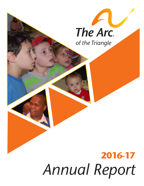

# **2016-17** *Annual Report*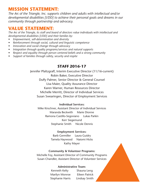### **MISSION STATEMENT:**

*The Arc of the Triangle, Inc. supports children and adults with intellectual and/or developmental disabilities [I/DD] to achieve their personal goals and dreams in our community through partnership and advocacy.*

#### **VALUE STATEMENT:**

*The Arc of the Triangle, its staff and board of directors value individuals with intellectual and developmental disabilities [I/DD] and their families by:*

- *• Empowerment, self-determination and diversity*
- *• Reinforcement through social, cultural and linguistic competence*
- *• Innovation and social change through advocacy*
- *• Integration through quality programs/services and natural supports*
- *• Respect and equality through person centered beliefs and a strong community*
- *• Support of families through safety, security and respite*

#### **STAFF 2016-17**

Jennifer Pfaltzgraff, Interim Executive Director (11/16-current) Robin Baker, Executive Director Duffy Palmer, Senior Director & General Counsel Lisa Maier, Quality Assurance Director Karen Warner, Human Resources Director Michelle Merritt, Director of Individual Services Susan Swearingen, Director of Employment Services

#### **Individual Services:**

Mike Kirschner, Assistant Director of Individual Services Maranda Beckwith Marie Dionne Ramona Castillo-Segoviano Lukas Parkin Kerr Siegemund Stephanie Smith Nicole Dennis

#### **Employment Services:**

Barb Germiller Laura Guidry Tamela Haywood Naiomi Hicks Kathy Mayer

#### **Community & Volunteer Programs:**

Michelle Foy, Assistant Director of Community Programs Susan Chandler, Assistant Director of Volunteer Services

#### **Administrative Team:**

Kenneth Kelty Shauna Leng Marilyn Monroe Eileen Patrick Stephanie Harris Lindsay Smith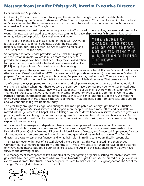#### **Message from Jennifer Pfaltzgraff, Interim Executive Director**

Dear Friends and Supporters,

On June 30, 2017 at the end of our fiscal year, The Arc of the Triangle prepared to celebrate its 3rd birthday. Merging the Orange, Durham and Wake County chapters in 2014 was like a rebirth for the local Arc's. We can see that the experience and expertise, the culture and community and so much more are what makes The Arc of the Triangle great.

The merger meant we could support more people across the Triangle with more services, programs and community events. Our new size has helped us to leverage new community relationships with our faith communities, school systems, fellow service providers, local businesses and more.

The Arc of the Triangle is seen as a leader in the local I/DD world. It is also seen as a leader and advocate across the state and nationally with our state chapter The Arc of North Carolina and The Arc of the US at the helm.

So compared to some service providers- we are small but mighty. And the reason is simple. We are so much more than a service provider. We always have been. That rich history means a dedication to support all people with intellectual and developmental disabilities [I/DD], not just people with Medicaid or other state funding.

"THE SECRET OF **CHANGE IS TO FOCUS** ALL OF YOUR ENERGY, NOT ON FIGHTING THE OLD, BUT ON BUILDING THE NEW."  $-$  SOCRATES

A great example: in the spring we were invited to participate in a resource fair at Alliance Behavioral Healthcare's (the Managed Care Organization, MCO, that we contract to provide services with) main campus in Durham. I prepared for the usual community event- brochures, Arc pens, candy, business cards. The day before I got a call from the MCO telling me I could not talk to attendees about our Medicaid services. That came a s shock.

So of course, always prepared to share our mission and tell people about who we are and what we do- I went. And I realized when I got there we were the only contracted service provider who was invited. And the reason was simple- the MCO knew we still had plenty in our arsenal to share with the community- the Triangle Self-Advocacy Network, our summer internship program Project SEE, Community Connections Partner Program, Information and Resources, Party & Pics with Santa- and the list goes on. We were the only service provider there. Because The Arc is different. It was originally born from advocacy and support and we continue that great tradition today.

This year truly brought challenges and changes. The most palpable was a very tight financial situation. In order to expand Medicaid services and support more people, we hired more office and field staff. We moved into larger offices in Chapel Hill and Raleigh. We spent down financial reserves in order to grow as a provider, without sacrificing our community programs & events and free information & resources. But that spending created a need to cut expenses as much as possible while making sure our income grows through expanded service delivery.

At the onset of our merger, our department heads were not empowered nor educated on finances for the agency as a whole or even their own services. That has also changed. The management team made up the Executive Director, Quality Assurance Director, Individual Services Director, and Supported Employment Director all meet regularly to ensure communication is strong and good decisions are being made for The Arc. Our directors are kept abreast of our finances and what their role is in making sure we are fiscally responsible.

This year turnover within our office staff played a big part in how this year started, and then ended. Currently, our staff tenure ranges from 3 months to 17 years. We are so fortunate to have people that not only have huge hearts, but good business sense to take The Arc into this next phase, now that we have survived the growing pains.

Our management team spent the last 6 months of the year getting organized, setting reasonable short term goals that have had great outcomes while we move towards a bright future. We embraced change, as difficult as that was at times. The structure has been put into place to make 2017-2018 a great year for The Arc of the Triangle. We are glad to have you be a part of it.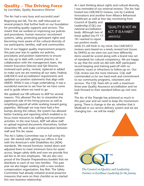#### **Quality – The Driving Force**

by Lisa Maier, Qyality Assurance Director

The Arc had a very busy and successful year!

Beginning last fall, The Arc staff refocused on several projects that further built on our foundation for providing quality supports and services. This meant that we worked on improving our policies and procedures, human resource/ recruitment systems, safety, protecting participant rights and becoming more aware of the cultural diversity of our participants, families, staff and communities.

One of our biggest quality improvement projects this past year was to update our policies, procedures and position statements to ensure we stay up to date with current practice. In collaboration with the management team, the Interim Executive Director and QA Director, reviewed each policy, revised, replaced or added to make sure we are meeting all our state, Federal, LME/MCO and accreditation requirements and updated our position statements that align with AAIDD. While it was a huge undertaking, it was a wonderful exercise to see how far we have come and to guide where we need to go.

We updated our HR software to ADP for several reasons. This allowed The Arc to streamline the paperwork side of the hiring process as well as simplifying payroll all while working toward going paperless. Although we may have had a few bumps during the rollout, the system has allowed better tracking and reporting which enabled us to focus more resources to staffing and recruitment activities. In the near future, ADP will allow staff to upload required documents themselves, further streamline HR, and make communication between staff and The Arc easier.

The Arc's Safety Committee was in full swing this year. We started with getting our offices in line with the American's with Disabilities Act (ADA) standards. We moved furniture, tested doors and adjusted them to meet minimum force for easier access, began safety drills and now we provide first aid kits to all new employees. We are also very proud of the Disaster Preparedness booklet that we distribute to each of our new families. This past year we also began working with a new workers compensation organization, Key Risk. The Safety Committee had already initiated several proactive measures that were on their checklist as we started this new business relationship.

As I start thinking about rights and cultural diversity, I was reminded of our external reviews. The Arc had hosted two LME/MCO reviews, one by Cardinal Innovations and another from Alliance Behavioral Healthcare as well as four day monitoring from

Council of Quality and Leadership (CQL) our national accreditation body. Although two of these spilled into FY 17- 18 I wanted to report our positive results

"QUALITY IS NOT AN ACT, IT IS A HABIT." -ARISTOTLE

while it's still fresh in my mind. Our LME/MCO reviews were based on a newly revised tool (issues by DHHS) so we were not sure how differently items would be scored along with a brand new set of standards for cultural competency. We are happy to say that the work we did with ADP, participant record keeping and training paid off with no systemic issues or infractions to follow-up on. Our CQL review was the most intensive. CQL staff commended us for our hard work and commitment to our community programs, volunteers and services. The CQL Team left us with a maximum three-year Quality Assurance accreditation and we look forward to their standard follow-up visit next fall.

The Arc of the Triangle has achieved so much in this past year and we need to keep the momentum going. There is change in the air, whether that is Medicaid or our service delivery system and we are changing too - we will be ready!



The Council on Quality and Leadership Partners in Excellence; Leadership for the Journey.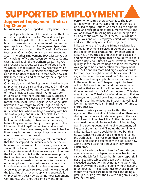## **SUPPORTED EMPLOYMENT**

#### **Supported Employment - Embracing Change**

by Susan Swearingen, Supported Employment Director

This past year has brought loss and gain in the form of staff and participants alike. We said goodbye to both of the Chapel Hill Employment Specialists and hired two new staff as we restructured the program geographically. One new Employment Specialists was trained and placed in the Chapel Hill office and focuses on Orange County and some surrounding areas. The other Employment Specialist works out of the Raleigh office and covers some Wake County cases as well as all of the Durham cases. The Arc also received its largest caseload of referrals from Vocational Rehabilitation (55 new referrals) which speaks to our successful placement program. It was all hands on deck to make sure that every new participant felt valued and cared for by the Supported Employment Team.

Our participants and families worked hard with our Employment Specialists and as a result, 27 individuals with I/DD found jobs in the community. One of those individuals was Angel. Angel was born in Korea and lived there until she was 8. English is her second and she serves as the interpreter for her mother who speaks little English. When Angel gets nervous she will forget to speak English and then will shut down when she realizes that people don't understand her. When we began working with her she was very shy and unsure of herself. Her Employment Specialist (ES) spent extra time with her, building a relationship of trust and acceptance, before they ever attempted job development. The ES learned that Angel's father lived and worked overseas and has missed many milestones in her life. It was very important to Angel to get a job so she could make her father proud.

Angel's first interview did not go well; so much so that the ES stopped the interview because the interviewer was unaware of her growing anxiety and stress. It took another month of relationship building to get Angel ready to interview again. This time the ES had time to talk with the interviewer prior to the interview to explain Angels shyness and anxiety. The interviewer made arrangements to have one of her employees who speaks Korean attend the interview. As a result, the interview was amazing, Angel was completely relaxed, and she was offered the job. Angel has been happily and successfully employed for a year now at Springmoor Retirement Community. She is not the same shy and timid

person who started there a year ago. She is comfortable with her coworkers and no longer has to be asked to speak louder. She received the highest score and raise possible at her 6 month review and we look forward to seeing her excel in her job for as long as she wants to work there. As a side note, Angel was one of 10 employees hired last February and she is the only one still working there.

Mike came to the Arc of the Triangle seeking Supported Employment Services in October of 2015 at the age of 19 after graduating from high school. Mike has a very specific and challenging disability and his mom was hopeful that he could work 3 to 4 hours a day, 2 to 3 times a week. It was discovered quickly as the job search began that his low stamina was going to be a consideration for employment sites. Mike and his mom had high expectations as to what they thought he would be capable of doing so the search began based on Mike's and mom's direction and many applications were submitted. In the meantime the ES began to gain the trust of both Mike and his mom and they soon began to realize that something a little simpler for a first time job would be in Mike's best interest. This also meant that the ES had a lot of work to do to find an employer who would be willing to create a job that would match his abilities and interests as well as allow him to only work a minimal amount of time to ensure success.

ES went to Wendy's and spoke to Alex, the manager about the possibility of Mike working there as a dining room attendant. Alex was open to the idea and offered to interview Mike. At the interview, Alex explained the job duties to include: wiping tables, washing trays, greeting and helping customers, taking care of the trash and filling up the condiments. Mike let Alex know he could do this job but that he was concerned about not being able to handle the trash tasks. Alex was more than willing to take this off of his list and offered him the job. Mike now works 3 days a week for 1 hour each day during lunch time.

Mike had a job coach with him for 2 months but is now able to work independently. Alex has further carved the job for Mike so that his only responsibilities are to wipe tables and clean trays. Mike has exceeded expectations in being able to work independently wiping down the table without needing to be directed. The ES continues to check in on him monthly to make sure he is on track and doing a great job. Mike greets the ES with a big smile every time he sees her.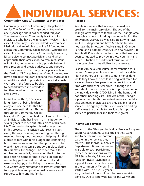# **Individual Services:**

#### **Community Guide/ Community Navigator**

Community Guide or Community Navigator is a service The Arc of the Triangle began to provide a few years ago and it has expanded this year. The service is called Community Navigator for Individuals who have the Innovations Waiver. It is a called Community Guide for individuals who have Medicaid and are eligible to utilize B3 funding to access this Community Guide service. Whether it is called Community Guide or Community Navigator, it's a service to connect participants (and when appropriate their families too) to resources, assist with finding volunteer activities, provide training in self direction, and provide advocacy and support. This is a service we feel many participants with with the Cardinal OPC area have benefitted from and we have been able this year to expand the service added an additional staff to provide it to more individuals.

We hope in the future to be able to expand further and provide it to other counties in the triangle area as well.

Individuals with ID/DD have a long history of being hidden away and one path for that has often been institutions. This year, through of Community Guide/

Navigator Program, we had the pleasure of assisting an individual who has lived in an Institution for several years to move out into a place of his own. His Community Navigator played a large role in this process. She assisted with several steps along the way including supporting him through meeting throughout the process, helping him find a place to rent within his budget and connecting him to resources in and to other providers so he would have the necessary support in place during this dramatic life change. The move took a lot of planning especially considering the institution had been his home for more than a decade but we are happy to report he is doing well and is extremely happy to be living in his own place. Our Community Navigator department continues to support him and provide quality service and supports to him and his family.

#### **Respite**

Respite is a service that is simply defined as a break for the main care giver. The Arc of the Triangle offer respite to families of the Triangle Area through a variety of funding sources including the Innovations Waiver, B3 Medicaid (folks who have an ID/DD diagnosis and have Medicaid but do not have the Innovations Waiver) and in Orange, Person, and Chatham counties we also provide IPRS Respite (IPRS is a state funding source that we have been contracted to provide in those counties) and in each situation the individual must live with a main care giver to be eligible for the service.

Respite can be a vital source of rejuvenation for a parent. Some parents use it for a break or a date night & others use it as time to get errands done while they know their child is being well cared for. We even have a few parents who use it to spend time with their other child(ren), although it is important to note this service is to provide care for the individual with ID/DD living in the home and not others needing care. The Arc of the Triangle is pleased to offer this important service especially because many individuals are only eligible for this service. The agency continues to work on finding staff across the triangle to provide this important service to participants and their care givers.

#### **Individual Services**

The Arc of the Triangle's Individual Services Program Supports participants to live the life they want

and to be the most important partner in the services they receive. The Individual Services Department utilizes the funding available to each participant (either the Innovations Waiver, IPRS State Funds, B3 Medicaid funds or Private Payment) to support Individuals at home or in the community. When I first started with The Arc, 10 years



ago, we had a lot of children that were receiving services. Due to long wait lists for the waiver and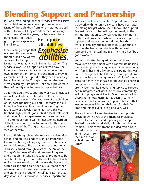## **Blending Support and Partnership**

less and less funding for other services, we still serve some children but we also support many adults. Many of those children from when I started are still with us today but they are either teens or young adults now. Over the years, we have seen these

remarkable individuals grow up and experience life full force.

One exciting change that occurred this year was the start of a new waiver service called Supported



Living that was launched in November 2016. This service allows us to support adults who have the **www.arctriangle.org** Innovations Waiver, to live on their own in their own apartment or home. It is designed to provide as much or as little support as they need on a daily basis. The Arc of the Triangle is excited that we were chosen by Cardinal as 1 of only 6 providers in their 20 county area to provide Supported Living.

So for the adults we support now or new Individuals we will meet who are interested in the service, this is an exciting option. One example of the children of 10 years ago being our adults of today and our Individual Services Department Supporting them is the story of a lovely young lady who this year finished High School, got a job at a local restaurant and moved into an apartment with a roommate. This ambitious young women has worked hard on skills at home and school to prepare for this time and The Arc of the Triangle has been there every step of the way.

Prior to finishing school, she received services after school and on weekends to work on important life skills at home, all helping lead her to be ready for her big move. She was able to use vocational skills she learned through years of The Arc of the Triangle's Summer Work and Wellness Program and through her schools vocational program to be selected for her job. I recently went to have lunch while she was working and she was the hostess who seated us and she also helped bus our table when we were done. I have never seen her so energetic and vibrant and proud of herself as I saw her that day at work. Our Individual Services Department

staff, especially her dedicated Support Professionals that work with her on a daily basis have been vital to helping her get where she is today. The Support Professionals assist her with getting ready in the am, transportation to work,(including learning to us the local bus system when possible) and provide support and encouragement during her shift at work. Eventually, she may need less supports but for now she feels comfortable with her level of support from her staff and feels they help her "be a good worker".

Immediately after her graduation she chose to move into an apartment with a roommate utilizing the new Supported Living Service. After living only with family her entire life up to this point, this was quite a change but she felt ready. Staff spend time under the Support Living service definition/ model assisting her with man tasks for household chores to budgeting to healthy eating and meal prep. They use the Community Networking service to support her in integrated activities in her local community including programs at Reality Ministries as well as classes at her local gym. It has been a learning experience and an adjustment period but it is that way for anyone living on their own for their first time and things overall are going very well.

She and her family are thankful for the supports provided by The Arc of the Triangle's Individual Services Department and especially our Support Professionals who work daily with this terrific young woman. Their commitment and dedication have

played a large role in her success from the time she was a child through today.

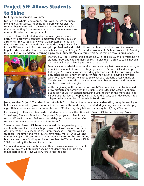### **Project SEE Allows Students to Shine**

#### by Clayton Williamson, Volunteer

Dressed in a Whole Foods apron, Louis walks across the sunny parking lot and collects shopping carts from various stalls. As soon as they're returned to the store entrance, Louis is back on the move, looking for more stray carts or baskets wherever they may be. He is focused and persistent.

Thanks to Project SEE, students like Louis are given the opportunity to grow into confident employees over the course of a summer. Project SEE is a six-week work placement program that puts students into a workplace alongside the guidance of a



Project SEE work coach. Each student gains professional and social skills, such as how to work as part of a team or how to get ready for work in time for their daily shift. A typical Project SEE student works a 20-22 hour work week, Monday through Friday. In addition to earning a paycheck, students can also earn credit hours that go toward graduation.



Warren, a 25-year veteran of job coaching with Project SEE, enjoys watching his students grow and expand their skill sets. "I give them a chance to be independent as much as possible. I give them space to work."

Most vocational rehabilitation work assessments only last three to four hours, an insufficient amount of time to truly gauge a student's potential and strengths. But Project SEE lasts six weeks, providing job coaches with far more insight into a student's abilities and work ethic. "When the novelty of having a new job wears off," says Warren, "we get to see what each student is really made of." The six-week duration also allows job coaches to better understand students and help focus their energies.

At the beginning of this summer, job coach Warren noticed that Louis would grow distracted or bored with the structure of his day if he wasn't kept busy. But as soon as Warren started motivating Louis to stay on the move and keep his eye open for loose shopping carts around the store, Louis developed into a diligent, reliable member of the Whole Foods team.

Jenna, another Project SEE student-intern at Whole Foods, began the summer as a hard-working but quiet employee. But as she continued to grow comfortable in her role in the workplace, Jenna started greeting customers and engaging with her co-workers with a smile on her face. "Cashiers say they talk with her every break," says Warren.

Permanent job offers are often made to student-interns once their time with Project SEE is complete, says Susan

Swearingen, The Arc's Director of Supported Employment. "Employers such as Whole Foods and SAS are always delighted to work with us. Our students become important parts of their team."

Susan has seen Project SEE become an incredible program for young adults with disabilities, and she hopes Project SEE will take on more student-interns and job coaches in the summers ahead. "This year we had 18 students," she says, "and we'd love to have many more." She's working to ensure Project SEE can take on more student-interns for the near future, but they need more funding to hire job coaches like Warren. Project SEE is 100% funded by the Arc and its supporters.

Susan and Warren beam with pride as they discuss various achievements made by Project SEE students. "Seeing a student's face light up once things start to click," says Warren, "that's just the best."



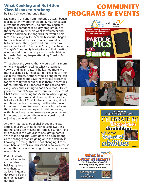#### **What Cooking and Nutrition Class Means to Anthony**

### **Community PROGRAMS & EVEN**

by Lisa DeMarco, Anthony's Sister

My name is Lisa and I am Anthony's sister. I began looking after my brother before our father passed away due to Alzheimer's . As Anthony began to express his boredom at his day program due to the same old routine, his want to volunteer and develop additional lifelong skills that would help him in his everyday life became his focus. I began to research what the best resources would be to help him meet these goals and this is when we were introduced to Stephanie Smith, The Arc of the Triangle's Community Navigator and that meeting was the start of Anthony's path towards obtaining his goals. Anthony began attending Cooking & Nutrition Class.

Throughout the year Anthony would call his mom or I every Tuesday to tell us what he learned, cooked and ate in class. As he learned more and more cooking skills, he began to take a lot of interest in the recipes. Anthony would bring home copies of the recipes and save them for our weekends together to try them out or take them to show his Mom. Anthony looks forward to the cooking class every week and learning to cook new foods. He enjoyed the tour of Maple View Farm (and ice cream), Chef Ashlee, Preparing for Meals on Wheels, going to the Caring House and of course all parties! He talked a lot about Chef Ashlee and learning about nutritious foods and cooking healthy which was important to him. Anthony is a social butterfly and this cooking class has helped t build comradery with his cooking mates, learning everyone has an important part to contribute when cooking and enjoying time with friends.

Anthony has had a lot of challenges in the last couple of years with his father passing away, his mother and sister moving to Florida, a surgery, and two moves in the last year to new group homes. With that being said, what does help him among all the changes that are going on is the stability in knowing the things that are not changing: I'm always here and available, his schedule to volunteer is always the same and cooking class is every Tuesday rain or shine!

Kudos to all who are involved in the cooking class in helping my brother Anthony to achieve his goals of developing lifelong skills for his everyday life!!





**MARCH IS**<br>disability awaRENEss <sub>M</sub>onth **CELEBRATE Recognizing disabilities** while we **EMPHASIZE** *abilities* **#DDAware**

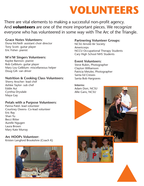## **VOLUNTEERS**

There are vital elements to making a successful non-profit agency. And **volunteers** are one of the more important pieces. We recognize everyone who has volunteered in some way with The Arc of the Triangle.

#### **Grace Notes Volunteers:**

Dona McNeill- assistant choir director Tony Scott- guitar player Eric Fisher- pianist

#### **M'n'M Singers Volunteers:**

Kaylee Bannon- pianist Rob Gelblum- guitar player Mary Lou Gelblum- miscellaneous helper Doug Gill- van driver

#### **Nutrition & Cooking Class Volunteers:**

Sherry Anscher- lead chef Ashlee Taylor- sub chef Eddie Aui Cynthia Drysdale Maya Gay

#### **Petals with a Purpose Volunteers:**

Panna Patel- lead volunteer Courtney Owens- Co-lead volunteer Eric Ray Shan Yu Becci Ritter Aurelle Ngugen Laura Brown Mary Kate Murray

#### **Arc HOOPs Volunteer:**

Kristen Langford Brookshire (Coach K)



#### **Partnering Volunteer Groups:**

NCSU Arnold Air Society Americorps NCCU Occupational Therapy Students Cary High School NHS Students

#### **Event Volunteers:**

Steve Rubin, Photographer Clayton Williamson Patricia Metzler, Photographer Santa Ed Crewes Santa Bob Hargraves

#### **Interns:**

Adam Dorr, NCSU Allie Gans, NCSU

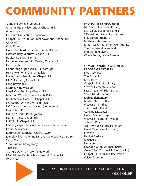## **COMMUNITY PARTNERS**

Alpha Phi Omega (volunteers) Amante Pizza, Falconbridge Chapel Hill Americorps Carrboro Fire Station, Carrboro Chapel Hill Fire Station, Meadowmont, Chapel Hill Chick-Fil-A Cici's Pizza Good Shepherd Lutheran Church, Raleigh Extraordinary Ventures, Chapel Hill Habitat Re-Store, Durham Hargraves Community Center, Chapel Hill Harris Teeter Hillsborough Sportsplex, Hillsborough Hillyer Memorial Church, Raleigh HoneySuckle Tea House, Chapel Hill HOPE Gardens, Chapel Hill Long Beverages Marbles Kids Museum Mardi Gras Bowling, Chapel Hill Meals on Wheels, Chapel Hill & Raleigh NC Botanical Gardens, Chapel Hill NC Central Univerisity (volunteers) NC State's Arnold Air Society (volunteers) Papa John's Pizza Patricia Meszler Photography Planet Fitness, Chapel Hill PNC Bank, Chapel Hill PORCH, People Offering Relief for Chapel Hill Carrboro Homes Reality Ministries Resurrection Lutheran Church, Cary, RambleRill Farm, Penny Lane Farm, Maple View Dairy Santa Claus! Steve Rubin Photography Taco Bell Triangle Down Syndrome Network UNC Fitness Center Meadowmont, Chapel Hill Whole Foods

#### **Project See Employers:**

NC State, University Housing SAS Cafés, Buildings F and T SAS Art and Scenic Operations PPD Development, L.P. Marbles Kids Museum Jordan Oaks Retirement Community The Gardens at Wakefield, Independent Living Whole Foods, Wade Avenue

#### **Summer Work & Wellness Program Partners:**

Cafe Carolina The Egg & I Brixx Pizza Chapel Hill Public Library Seawell Elementary School East Chapel Hill High School Smith Middle School Rashkis Elementary Market Street Coffee Weaver St. Market The Franklin Hotel Carolina Meadows Green Beagle Lodge Weaver St. Southern Village Tobacco Road Ace Town & County Hardware Great Clips (Meadowmont) Freddy's Habitat Restore **Marshalls Elements** Orange County Animal Shelter Great Clips (Chapel Hill North/MLK) Chapel Hill Parks and Recreation Voices Together



"Alone we can do so little; together we can do so much." -Helen Keller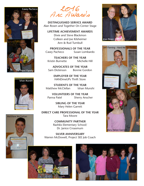





2016<br>Arc Awards

**Distinguished Service Award** Alan Rosen and Together On Center Stage

**LIFETIME ACHIEVEMENT AWARDS** Dixie and Steve Blackmon Colleen and Joe Kilsheimer Ann & Rud Turnbull

**Professionals of the Year** Casey Pacheco Susan Lombardo

**Teachers of the Year** Kristin Burnette Michelle Hill

**Advocates of the Year** Sam Dickinson Bonnie Gordon

> **Employer of the Year** HANDmeUPs Thrift Store

**StudentS of the Year** Matthew McClellan Ishan Munshi

**Volunteers of the Year** Panna Patel Sherry Anscher

> **Sibling of the Year** Mary Helen Garrett

**Direct Care Professional of the Year** Tara Moore

> **Community Partner** Rashkis Elementary School/ Dr. Janice Croasmum

**SILVER ANNIVERSARY** Warren McDowell, Project SEE Job Coach







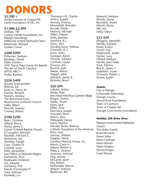## **DONORS**

**\$2,500 +**

Aveda Institute of Chapel Hill Lamb Foundation of NC, Inc

#### **\$1,000-\$2,499**

DeMasi, TW Carlson Family Foundation, Inc. Raleigh Neurology Millbrook United Methodist Men Balamucki, Richard Golden Corral

#### **\$500-\$999**

Prillaman, Barbara Elenbaas, Derek Flake, Gordon UNC Tennis Team Game Set Benefit The Arc of North Carolina WTVD ABC11 Yoder, Barbara

#### **\$250-\$499**

Kendra Scott Jewelry Bylinski, Joe Jones Jr., Henry W. Dumas, Richard Munshi, Vandna The Blanchard Fund Resurrection Lutheran Church Failla, Albert Munshi, Sanjeev Cooney, Robert

#### **\$100-\$249**

Ryan, Christine Dillard, Reece Veney, James E. Garner Freewill Baptist Church O`Loughlin, Michael Madden, Michael C. Kilsheimer, Joe Stockley, Gerald Case, Charles D. Cotterill, Lynn Kelty, Jacqueline Law Office of Michelle Rogers Humphres, PLLC Rodewald, Frederick Aul, Edward Stanberry, Phil Manik, Christopher P Tane, Michael McNeilly, Lia

Thompson III, Charles Antico, Joseph Konrad, Thomas Moorefield, Brandon Roszell, Sheila Morrow, Michael Slifkin, Naomi Failla, Barbara Stanford, R.L. Davis, Tom Stockley-Jones, Melissa Cimorelli, D. J. Jones, Mary Geringer, Karen Thomas, Edward Cochran, Laurie Duncan, Jim Ravitch, Josh Weeks, Arthur Hagigh, Jaleh Edwards, James A. Rinholm, Brent

#### **\$50-\$99**

LaPerre, Arthur Hollar, Dale Brixx Wood Fired Pizza Cameron Village Kregor, Donna Teplin, Stuart Davis, Jack Miller, Amy Morrissey, Joseph Gonzales, Rene Morris, John Pfaltzgraff, Nancy Davis, Martha Morales Burke, Barbara Catholic Daughters of the Americas Prior, Leila Zelman, William Hughes, Marie Carolina Hearing Group, Inc. Morris, Carol A. Adams, Robert G. Flake, L. Dickson Swanson, Michael May, Jeanne McLamb, Janet Eby, Robert McDonald, Marcia Ahlport, Kathryn Blackman, Bill

Edwards, Melanie Woody, David Bernstein, Stuart Mirrett, Penny SBS, Inc. Selby, Dawn

#### **\$15-\$49**

Ellington, Meredith Neville, Garland Brady, Evelyn Carver, Sue Markwordt, Judith Harber, Lucy Hilliard, Barbara Neville, Jean Healy Trost, Patricia Rick Jr., James T Goldstein, Susan Schwartz, Robert J. Nutter, Judith

#### *Grants:*

City of Raleigh Crossroads Fellowship Orange County Stroud Rose Foundation Town of Carrboro Town of Chapel Hill Triangle Community Foundation

#### *Holiday Gift Drive Elves:*

Pleasant Grove United Methodist **Church** The Alden Family Janet McLamb Dawn Selby Karen Geringer Katie Holmes Marie Hughes Donna Kregor Carol Moore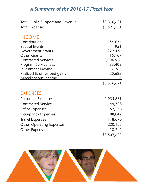### *A Summary of the 2016-17 Fiscal Year*

| <b>Total Public Support and Revenue:</b> | \$3,316,621 |
|------------------------------------------|-------------|
| <b>Total Expenses</b>                    | \$3,521,731 |
| <b>INCOME</b>                            |             |
| Contributions                            | 54,634      |
| <b>Special Events</b>                    | 951         |
| Government grants                        | 229,476     |
| <b>Other Grants</b>                      | 15,167      |
| <b>Contracted Services</b>               | 2,904,526   |
| <b>Program Service fees</b>              | 83,403      |
| Investment income                        | 7,767       |
| Realized & unrealized gains              | 20,682      |
| Miscellaneous income                     | 15          |
|                                          | \$3,316,621 |
| <b>EXPENSES</b>                          |             |
| <b>Personnel Expenses</b>                | 2,955,861   |
| <b>Contracted Service</b>                | 49,328      |
| <b>Office Expenses</b>                   | 57,256      |
| <b>Occupancy Expenses</b>                | 88,042      |
| <b>Travel Expenses</b>                   | 118,670     |
| <b>Other Operating Expenses</b>          | 220,105     |
| <b>Other Expenses</b>                    | 18.342      |
|                                          | \$3,507,603 |